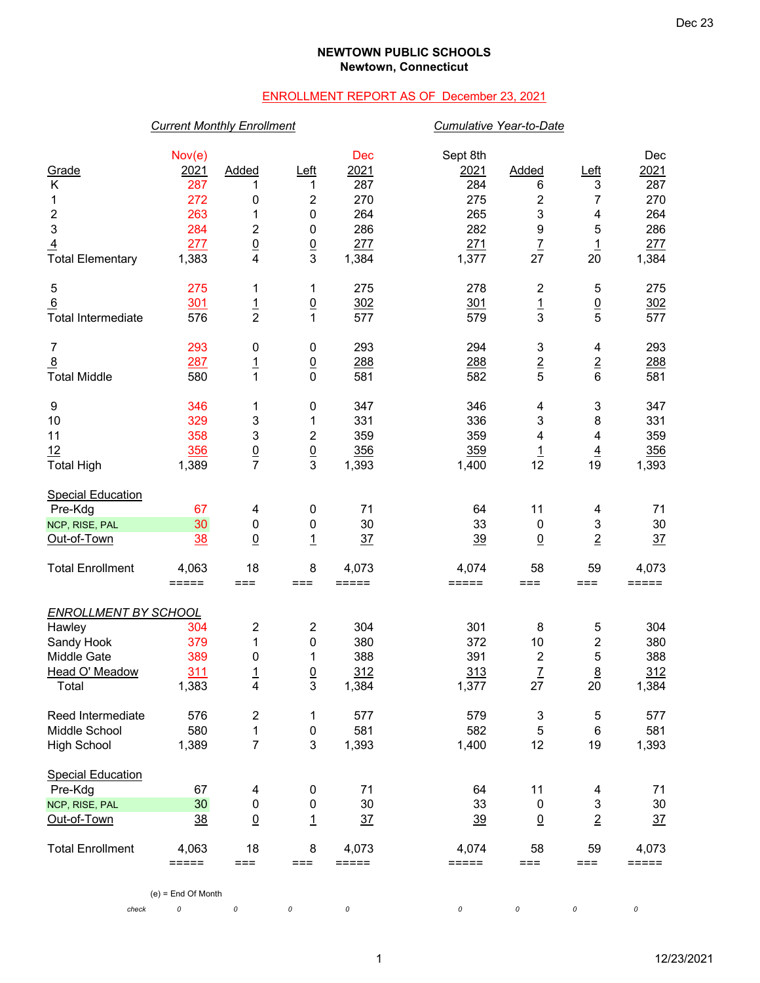### **NEWTOWN PUBLIC SCHOOLS Newtown, Connecticut**

# ENROLLMENT REPORT AS OF December 23, 2021

### *Current Monthly Enrollment Cumulative Year-to-Date*

|                             | Nov(e)              |                                   |                      | <b>Dec</b>          | Sept 8th            |                           |                      | Dec            |
|-----------------------------|---------------------|-----------------------------------|----------------------|---------------------|---------------------|---------------------------|----------------------|----------------|
| Grade                       | 2021                | Added                             | Left                 | 2021<br>287         | 2021                | Added                     | Left                 | 2021           |
| Κ                           | 287<br>272          | 1                                 | 1                    | 270                 | 284<br>275          | 6                         | 3                    | 287<br>270     |
| 1<br>2                      | 263                 | 0<br>1                            | 2<br>$\pmb{0}$       | 264                 | 265                 | $\overline{c}$<br>3       | 7<br>4               | 264            |
| 3                           | 284                 | 2                                 | 0                    | 286                 | 282                 | $\boldsymbol{9}$          | 5                    | 286            |
|                             |                     |                                   |                      |                     |                     |                           |                      |                |
| $\overline{4}$              | 277<br>1,383        | $\underline{0}$<br>$\overline{4}$ | $\underline{0}$<br>3 | 277                 | 271<br>1,377        | $\overline{1}$<br>27      | $\overline{1}$<br>20 | 277<br>1,384   |
| <b>Total Elementary</b>     |                     |                                   |                      | 1,384               |                     |                           |                      |                |
| 5                           | 275                 | 1                                 | 1                    | 275                 | 278                 | $\boldsymbol{2}$          | 5                    | 275            |
| 6                           | 301                 | $\frac{1}{2}$                     | $\underline{0}$      | 302                 | 301                 | $\frac{1}{3}$             | $\underline{0}$      | 302            |
| <b>Total Intermediate</b>   | 576                 |                                   | 1                    | 577                 | 579                 |                           | $\overline{5}$       | 577            |
| $\overline{7}$              | 293                 | 0                                 | 0                    | 293                 | 294                 | $\ensuremath{\mathsf{3}}$ | 4                    | 293            |
| $\overline{8}$              | 287                 | $\frac{1}{1}$                     | $\underline{0}$      | 288                 | 288                 | $\overline{2}$            | $\overline{2}$       | 288            |
| <b>Total Middle</b>         | 580                 |                                   | $\mathbf 0$          | 581                 | 582                 | 5                         | $6\phantom{1}$       | 581            |
| 9                           | 346                 | 1                                 | 0                    | 347                 | 346                 | 4                         | 3                    | 347            |
| 10                          | 329                 | 3                                 | 1                    | 331                 | 336                 | 3                         | 8                    | 331            |
| 11                          | 358                 | 3                                 | 2                    | 359                 | 359                 | 4                         | 4                    | 359            |
| 12                          | 356                 | $\frac{0}{7}$                     | $\underline{0}$      | 356                 | 359                 | $\overline{1}$            | $\overline{4}$       | 356            |
| <b>Total High</b>           | 1,389               |                                   | 3                    | 1,393               | 1,400               | 12                        | 19                   | 1,393          |
| <b>Special Education</b>    |                     |                                   |                      |                     |                     |                           |                      |                |
| Pre-Kdg                     | 67                  | 4                                 | $\pmb{0}$            | 71                  | 64                  | 11                        | 4                    | 71             |
| NCP, RISE, PAL              | 30                  | 0                                 | 0                    | 30                  | 33                  | 0                         | 3                    | 30             |
| Out-of-Town                 | <u>38</u>           | $\Omega$                          | $\overline{1}$       | 37                  | 39                  | $\Omega$                  | $\overline{2}$       | 37             |
| <b>Total Enrollment</b>     | 4,063               | 18                                | 8                    | 4,073               | 4,074               | 58                        | 59                   | 4,073          |
|                             | $=$ $=$ $=$ $=$ $=$ | $==$                              | $==$                 | $=$ $=$ $=$ $=$ $=$ | $=$ $=$ $=$ $=$ $=$ | $==$                      | $==$                 | =====          |
| <b>ENROLLMENT BY SCHOOL</b> |                     |                                   |                      |                     |                     |                           |                      |                |
| Hawley                      | 304                 | 2                                 | $\overline{c}$       | 304                 | 301                 | 8                         | 5                    | 304            |
| Sandy Hook                  | 379                 | 1                                 | 0                    | 380                 | 372                 | 10                        | $\mathbf{2}$         | 380            |
| <b>Middle Gate</b>          | 389                 | 0                                 | 1                    | 388                 | 391                 | $\boldsymbol{2}$          | 5                    | 388            |
| Head O' Meadow              | 311                 | $\overline{1}$                    | $\overline{0}$       | 312                 | 313                 | $\overline{L}$            | $\underline{8}$      | 312            |
| Total                       | 1,383               | 4                                 | 3                    | 1,384               | 1,377               | 27                        | 20                   | 1,384          |
| Reed Intermediate           | 576                 | 2                                 | 1                    | 577                 | 579                 | 3                         | 5                    | 577            |
| Middle School               | 580                 | 1                                 | $\pmb{0}$            | 581                 | 582                 | 5                         | $\,6$                | 581            |
| <b>High School</b>          | 1,389               | $\overline{7}$                    | 3                    | 1,393               | 1,400               | 12                        | 19                   | 1,393          |
| <b>Special Education</b>    |                     |                                   |                      |                     |                     |                           |                      |                |
| Pre-Kdg                     | 67                  | 4                                 | $\pmb{0}$            | 71                  | 64                  | 11                        | 4                    | 71             |
| NCP, RISE, PAL              | 30                  | 0                                 | $\pmb{0}$            | 30                  | 33                  | $\mathbf 0$               | 3                    | 30             |
| Out-of-Town                 | 38                  | $\underline{0}$                   | $\mathbf{1}$         | $\frac{37}{2}$      | 39                  | $\underline{0}$           | $\overline{2}$       | $\frac{37}{2}$ |
| <b>Total Enrollment</b>     | 4,063               | 18                                | 8                    | 4,073               | 4,074               | 58                        | 59                   | 4,073          |
|                             | =====               | $==$                              | $==$                 | $=====$             | $=====$             | $==$                      | ===                  | =====          |

(e) = End Of Month

*check 0 0 0 0 0 0 0 0*